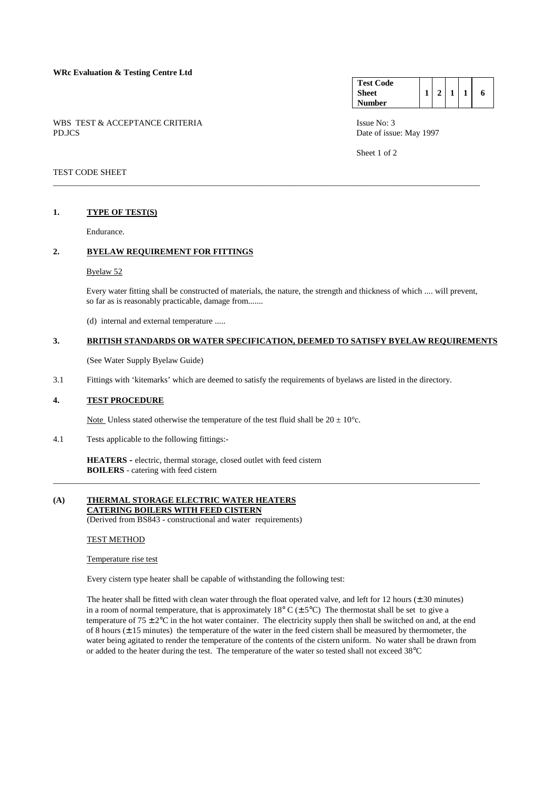| <b>Test Code</b> |  |  |   |
|------------------|--|--|---|
| <b>Sheet</b>     |  |  | 6 |
| <b>Number</b>    |  |  |   |

Sheet 1 of 2

# WBS TEST & ACCEPTANCE CRITERIA ISSUE No: 3 PD.JCS Date of issue: May 1997

# TEST CODE SHEET

### **1. TYPE OF TEST(S)**

Endurance.

### **2. BYELAW REQUIREMENT FOR FITTINGS**

#### Byelaw 52

 Every water fitting shall be constructed of materials, the nature, the strength and thickness of which .... will prevent, so far as is reasonably practicable, damage from.......

\_\_\_\_\_\_\_\_\_\_\_\_\_\_\_\_\_\_\_\_\_\_\_\_\_\_\_\_\_\_\_\_\_\_\_\_\_\_\_\_\_\_\_\_\_\_\_\_\_\_\_\_\_\_\_\_\_\_\_\_\_\_\_\_\_\_\_\_\_\_\_\_\_\_\_\_\_\_\_\_\_\_\_\_\_\_\_\_\_\_\_\_\_\_\_\_\_\_\_\_

(d) internal and external temperature .....

# **3. BRITISH STANDARDS OR WATER SPECIFICATION, DEEMED TO SATISFY BYELAW REQUIREMENTS**

\_\_\_\_\_\_\_\_\_\_\_\_\_\_\_\_\_\_\_\_\_\_\_\_\_\_\_\_\_\_\_\_\_\_\_\_\_\_\_\_\_\_\_\_\_\_\_\_\_\_\_\_\_\_\_\_\_\_\_\_\_\_\_\_\_\_\_\_\_\_\_\_\_\_\_\_\_\_\_\_\_\_\_\_\_\_\_\_\_\_\_\_\_\_\_\_\_\_\_\_

(See Water Supply Byelaw Guide)

3.1 Fittings with 'kitemarks' which are deemed to satisfy the requirements of byelaws are listed in the directory.

#### **4. TEST PROCEDURE**

Note Unless stated otherwise the temperature of the test fluid shall be  $20 \pm 10^{\circ}$ c.

4.1 Tests applicable to the following fittings:-

**HEATERS -** electric, thermal storage, closed outlet with feed cistern **BOILERS** - catering with feed cistern

### **(A) THERMAL STORAGE ELECTRIC WATER HEATERS CATERING BOILERS WITH FEED CISTERN**

(Derived from BS843 - constructional and water requirements)

### TEST METHOD

# Temperature rise test

Every cistern type heater shall be capable of withstanding the following test:

The heater shall be fitted with clean water through the float operated valve, and left for 12 hours  $(\pm 30 \text{ minutes})$ in a room of normal temperature, that is approximately 18° C ( $\pm$  5°C) The thermostat shall be set to give a temperature of  $75 \pm 2$ °C in the hot water container. The electricity supply then shall be switched on and, at the end of 8 hours  $(\pm 15 \text{ minutes})$  the temperature of the water in the feed cistern shall be measured by thermometer, the water being agitated to render the temperature of the contents of the cistern uniform. No water shall be drawn from or added to the heater during the test. The temperature of the water so tested shall not exceed 38°C